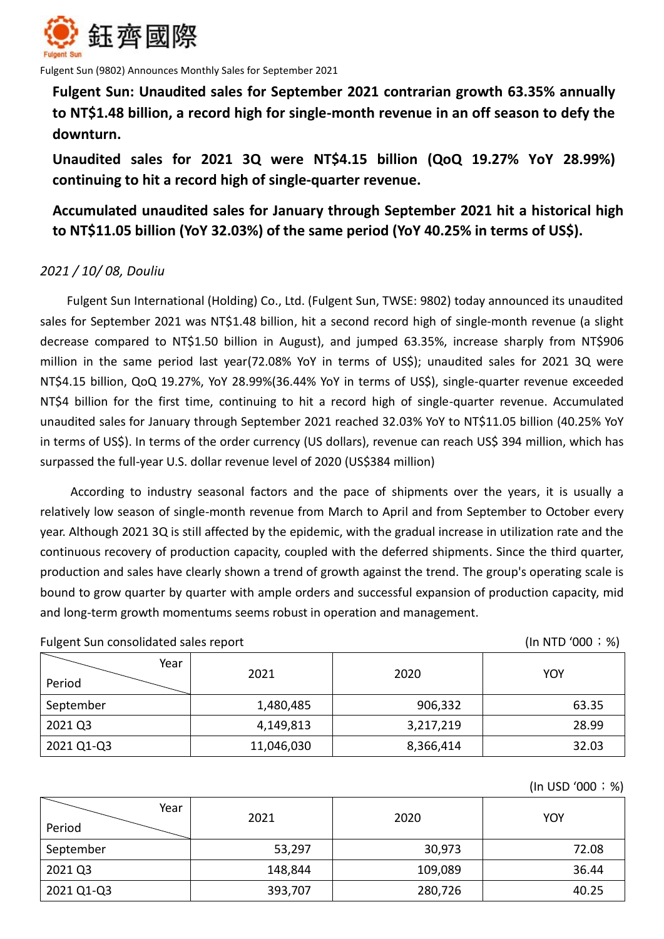

Fulgent Sun (9802) Announces Monthly Sales for September 2021

**Fulgent Sun: Unaudited sales for September 2021 contrarian growth 63.35% annually to NT\$1.48 billion, a record high for single-month revenue in an off season to defy the downturn.**

**Unaudited sales for 2021 3Q were NT\$4.15 billion (QoQ 19.27% YoY 28.99%) continuing to hit a record high of single-quarter revenue.**

**Accumulated unaudited sales for January through September 2021 hit a historical high to NT\$11.05 billion (YoY 32.03%) of the same period (YoY 40.25% in terms of US\$).**

## *2021 / 10/ 08, Douliu*

 Fulgent Sun International (Holding) Co., Ltd. (Fulgent Sun, TWSE: 9802) today announced its unaudited sales for September 2021 was NT\$1.48 billion, hit a second record high of single-month revenue (a slight decrease compared to NT\$1.50 billion in August), and jumped 63.35%, increase sharply from NT\$906 million in the same period last year(72.08% YoY in terms of US\$); unaudited sales for 2021 3Q were NT\$4.15 billion, QoQ 19.27%, YoY 28.99%(36.44% YoY in terms of US\$), single-quarter revenue exceeded NT\$4 billion for the first time, continuing to hit a record high of single-quarter revenue. Accumulated unaudited sales for January through September 2021 reached 32.03% YoY to NT\$11.05 billion (40.25% YoY in terms of US\$). In terms of the order currency (US dollars), revenue can reach US\$ 394 million, which has surpassed the full-year U.S. dollar revenue level of 2020 (US\$384 million)

According to industry seasonal factors and the pace of shipments over the years, it is usually a relatively low season of single-month revenue from March to April and from September to October every year. Although 2021 3Q is still affected by the epidemic, with the gradual increase in utilization rate and the continuous recovery of production capacity, coupled with the deferred shipments. Since the third quarter, production and sales have clearly shown a trend of growth against the trend. The group's operating scale is bound to grow quarter by quarter with ample orders and successful expansion of production capacity, mid and long-term growth momentums seems robust in operation and management.

| Year<br>Period | 2021       | 2020      | <b>YOY</b> |
|----------------|------------|-----------|------------|
| September      | 1,480,485  | 906,332   | 63.35      |
| 2021 Q3        | 4,149,813  | 3,217,219 | 28.99      |
| 2021 Q1-Q3     | 11,046,030 | 8,366,414 | 32.03      |

Fulgent Sun consolidated sales report (In NTD '000; %)

(In USD '000;%)

| Year<br>Period | 2021    | 2020    | YOY   |
|----------------|---------|---------|-------|
| September      | 53,297  | 30,973  | 72.08 |
| 2021 Q3        | 148,844 | 109,089 | 36.44 |
| 2021 Q1-Q3     | 393,707 | 280,726 | 40.25 |